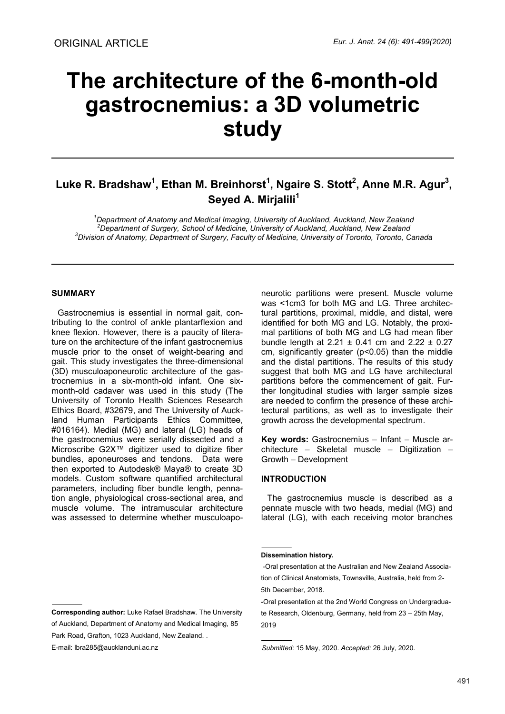# **The architecture of the 6-month-old gastrocnemius: a 3D volumetric study**

# **Luke R. Bradshaw<sup>1</sup> , Ethan M. Breinhorst<sup>1</sup> , Ngaire S. Stott<sup>2</sup> , Anne M.R. Agur<sup>3</sup> , Seyed A. Mirjalili<sup>1</sup>**

*<sup>1</sup>Department of Anatomy and Medical Imaging, University of Auckland, Auckland, New Zealand <sup>2</sup>Department of Surgery, School of Medicine, University of Auckland, Auckland, New Zealand <sup>3</sup>Division of Anatomy, Department of Surgery, Faculty of Medicine, University of Toronto, Toronto, Canada*

#### **SUMMARY**

Gastrocnemius is essential in normal gait, contributing to the control of ankle plantarflexion and knee flexion. However, there is a paucity of literature on the architecture of the infant gastrocnemius muscle prior to the onset of weight-bearing and gait. This study investigates the three-dimensional (3D) musculoaponeurotic architecture of the gastrocnemius in a six-month-old infant. One sixmonth-old cadaver was used in this study (The University of Toronto Health Sciences Research Ethics Board, #32679, and The University of Auckland Human Participants Ethics Committee, #016164). Medial (MG) and lateral (LG) heads of the gastrocnemius were serially dissected and a Microscribe G2X™ digitizer used to digitize fiber bundles, aponeuroses and tendons. Data were then exported to Autodesk® Maya® to create 3D models. Custom software quantified architectural parameters, including fiber bundle length, pennation angle, physiological cross-sectional area, and muscle volume. The intramuscular architecture was assessed to determine whether musculoaponeurotic partitions were present. Muscle volume was <1cm3 for both MG and LG. Three architectural partitions, proximal, middle, and distal, were identified for both MG and LG. Notably, the proximal partitions of both MG and LG had mean fiber bundle length at  $2.21 \pm 0.41$  cm and  $2.22 \pm 0.27$ cm, significantly greater (p<0.05) than the middle and the distal partitions. The results of this study suggest that both MG and LG have architectural partitions before the commencement of gait. Further longitudinal studies with larger sample sizes are needed to confirm the presence of these architectural partitions, as well as to investigate their growth across the developmental spectrum.

**Key words:** Gastrocnemius – Infant – Muscle architecture – Skeletal muscle – Digitization – Growth – Development

#### **INTRODUCTION**

The gastrocnemius muscle is described as a pennate muscle with two heads, medial (MG) and lateral (LG), with each receiving motor branches

E-mail: lbra285@aucklanduni.ac.nz

**Dissemination history.** 

<sup>-</sup>Oral presentation at the Australian and New Zealand Association of Clinical Anatomists, Townsville, Australia, held from 2- 5th December, 2018.

<sup>-</sup>Oral presentation at the 2nd World Congress on Undergraduate Research, Oldenburg, Germany, held from 23 – 25th May, 2019

**Corresponding author:** Luke Rafael Bradshaw. The University of Auckland, Department of Anatomy and Medical Imaging, 85 Park Road, Grafton, 1023 Auckland, New Zealand. .

*Submitted:* 15 May, 2020. *Accepted:* 26 July, 2020.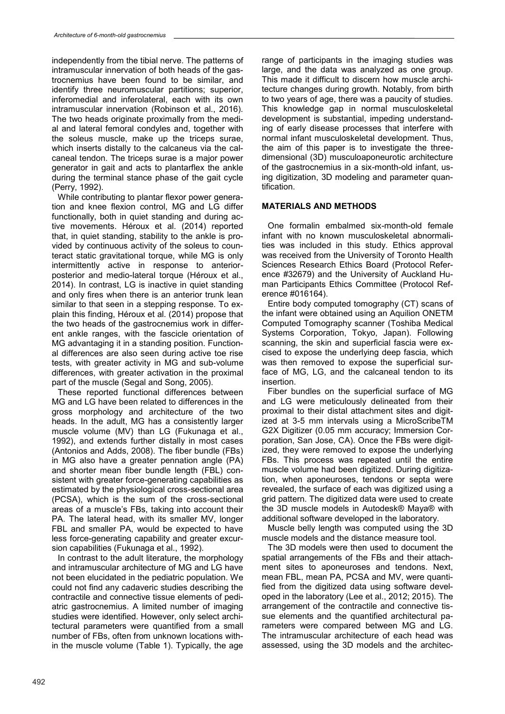independently from the tibial nerve. The patterns of intramuscular innervation of both heads of the gastrocnemius have been found to be similar, and identify three neuromuscular partitions; superior, inferomedial and inferolateral, each with its own intramuscular innervation (Robinson et al., 2016). The two heads originate proximally from the medial and lateral femoral condyles and, together with the soleus muscle, make up the triceps surae, which inserts distally to the calcaneus via the calcaneal tendon. The triceps surae is a major power generator in gait and acts to plantarflex the ankle during the terminal stance phase of the gait cycle (Perry, 1992).

While contributing to plantar flexor power generation and knee flexion control, MG and LG differ functionally, both in quiet standing and during active movements. Héroux et al. (2014) reported that, in quiet standing, stability to the ankle is provided by continuous activity of the soleus to counteract static gravitational torque, while MG is only intermittently active in response to anteriorposterior and medio-lateral torque (Héroux et al., 2014). In contrast, LG is inactive in quiet standing and only fires when there is an anterior trunk lean similar to that seen in a stepping response. To explain this finding, Héroux et al. (2014) propose that the two heads of the gastrocnemius work in different ankle ranges, with the fascicle orientation of MG advantaging it in a standing position. Functional differences are also seen during active toe rise tests, with greater activity in MG and sub-volume differences, with greater activation in the proximal part of the muscle (Segal and Song, 2005).

These reported functional differences between MG and LG have been related to differences in the gross morphology and architecture of the two heads. In the adult, MG has a consistently larger muscle volume (MV) than LG (Fukunaga et al., 1992), and extends further distally in most cases (Antonios and Adds, 2008). The fiber bundle (FBs) in MG also have a greater pennation angle (PA) and shorter mean fiber bundle length (FBL) consistent with greater force-generating capabilities as estimated by the physiological cross-sectional area (PCSA), which is the sum of the cross-sectional areas of a muscle's FBs, taking into account their PA. The lateral head, with its smaller MV, longer FBL and smaller PA, would be expected to have less force-generating capability and greater excursion capabilities (Fukunaga et al., 1992).

In contrast to the adult literature, the morphology and intramuscular architecture of MG and LG have not been elucidated in the pediatric population. We could not find any cadaveric studies describing the contractile and connective tissue elements of pediatric gastrocnemius. A limited number of imaging studies were identified. However, only select architectural parameters were quantified from a small number of FBs, often from unknown locations within the muscle volume (Table 1). Typically, the age range of participants in the imaging studies was large, and the data was analyzed as one group. This made it difficult to discern how muscle architecture changes during growth. Notably, from birth to two years of age, there was a paucity of studies. This knowledge gap in normal musculoskeletal development is substantial, impeding understanding of early disease processes that interfere with normal infant musculoskeletal development. Thus, the aim of this paper is to investigate the threedimensional (3D) musculoaponeurotic architecture of the gastrocnemius in a six-month-old infant, using digitization, 3D modeling and parameter quantification.

# **MATERIALS AND METHODS**

One formalin embalmed six-month-old female infant with no known musculoskeletal abnormalities was included in this study. Ethics approval was received from the University of Toronto Health Sciences Research Ethics Board (Protocol Reference #32679) and the University of Auckland Human Participants Ethics Committee (Protocol Reference #016164).

Entire body computed tomography (CT) scans of the infant were obtained using an Aquilion ONETM Computed Tomography scanner (Toshiba Medical Systems Corporation, Tokyo, Japan). Following scanning, the skin and superficial fascia were excised to expose the underlying deep fascia, which was then removed to expose the superficial surface of MG, LG, and the calcaneal tendon to its insertion.

Fiber bundles on the superficial surface of MG and LG were meticulously delineated from their proximal to their distal attachment sites and digitized at 3-5 mm intervals using a MicroScribeTM G2X Digitizer (0.05 mm accuracy; Immersion Corporation, San Jose, CA). Once the FBs were digitized, they were removed to expose the underlying FBs. This process was repeated until the entire muscle volume had been digitized. During digitization, when aponeuroses, tendons or septa were revealed, the surface of each was digitized using a grid pattern. The digitized data were used to create the 3D muscle models in Autodesk® Maya® with additional software developed in the laboratory.

Muscle belly length was computed using the 3D muscle models and the distance measure tool.

The 3D models were then used to document the spatial arrangements of the FBs and their attachment sites to aponeuroses and tendons. Next, mean FBL, mean PA, PCSA and MV, were quantified from the digitized data using software developed in the laboratory (Lee et al., 2012; 2015). The arrangement of the contractile and connective tissue elements and the quantified architectural parameters were compared between MG and LG. The intramuscular architecture of each head was assessed, using the 3D models and the architec-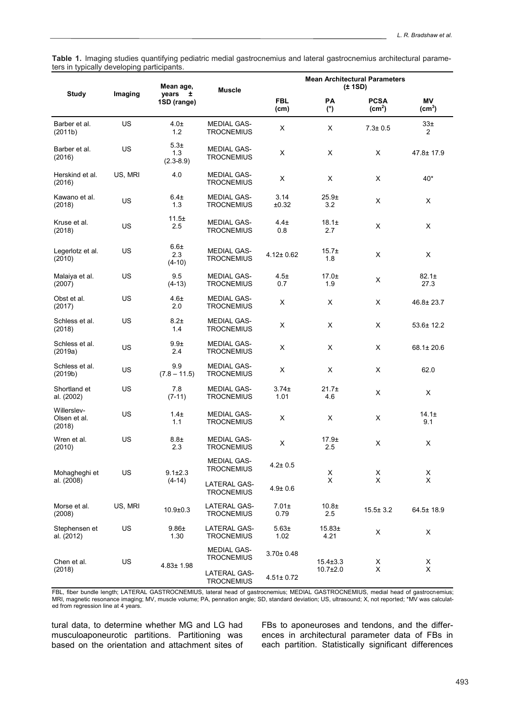**Table 1.** Imaging studies quantifying pediatric medial gastrocnemius and lateral gastrocnemius architectural parameters in typically developing participants.

| <b>Study</b>                          | Imaging | Mean age,<br>years<br>$\pm$<br>1SD (range) | <b>Muscle</b>                            | <b>Mean Architectural Parameters</b><br>$(\pm 1SD)$ |                          |                                   |                                 |  |
|---------------------------------------|---------|--------------------------------------------|------------------------------------------|-----------------------------------------------------|--------------------------|-----------------------------------|---------------------------------|--|
|                                       |         |                                            |                                          | <b>FBL</b><br>(cm)                                  | PA<br>(°)                | <b>PCSA</b><br>(cm <sup>2</sup> ) | <b>MV</b><br>(cm <sup>3</sup> ) |  |
| Barber et al.<br>(2011b)              | US      | $4.0\pm$<br>1.2                            | <b>MEDIAL GAS-</b><br><b>TROCNEMIUS</b>  | X                                                   | X                        | $7.3 \pm 0.5$                     | 33 <sub>±</sub><br>2            |  |
| Barber et al.<br>(2016)               | US      | $5.3\pm$<br>1.3<br>$(2.3 - 8.9)$           | <b>MEDIAL GAS-</b><br>TROCNEMIUS         | X                                                   | X                        | X                                 | 47.8±17.9                       |  |
| Herskind et al.<br>(2016)             | US, MRI | 4.0                                        | <b>MEDIAL GAS-</b><br><b>TROCNEMIUS</b>  | X                                                   | X                        | X                                 | 40*                             |  |
| Kawano et al.<br>(2018)               | US      | $6.4\pm$<br>1.3                            | <b>MEDIAL GAS-</b><br><b>TROCNEMIUS</b>  | 3.14<br>±0.32                                       | $25.9+$<br>3.2           | X                                 | X                               |  |
| Kruse et al.<br>(2018)                | US      | 11.5±<br>2.5                               | <b>MEDIAL GAS-</b><br><b>TROCNEMIUS</b>  | 4.4 <sub>±</sub><br>0.8                             | 18.1 <sub>±</sub><br>2.7 | X                                 | X                               |  |
| Legerlotz et al.<br>(2010)            | US      | $6.6 \pm$<br>2.3<br>$(4-10)$               | <b>MEDIAL GAS-</b><br><b>TROCNEMIUS</b>  | 4.12± 0.62                                          | $15.7 \pm$<br>1.8        | X                                 | X                               |  |
| Malaiya et al.<br>(2007)              | US      | 9.5<br>(4-13)                              | <b>MEDIAL GAS-</b><br><b>TROCNEMIUS</b>  | 4.5±<br>0.7                                         | $17.0 \pm$<br>1.9        | X                                 | $82.1 \pm$<br>27.3              |  |
| Obst et al.<br>(2017)                 | US      | $4.6 \pm$<br>2.0                           | <b>MEDIAL GAS-</b><br><b>TROCNEMIUS</b>  | X                                                   | X                        | X                                 | 46.8± 23.7                      |  |
| Schless et al.<br>(2018)              | US      | $8.2+$<br>1.4                              | <b>MEDIAL GAS-</b><br><b>TROCNEMIUS</b>  | X                                                   | X                        | X                                 | 53.6± 12.2                      |  |
| Schless et al.<br>(2019a)             | US      | $9.9\pm$<br>2.4                            | <b>MEDIAL GAS-</b><br>TROCNEMIUS         | X                                                   | X                        | X                                 | $68.1 \pm 20.6$                 |  |
| Schless et al.<br>(2019b)             | US      | 9.9<br>$(7.8 - 11.5)$                      | <b>MEDIAL GAS-</b><br><b>TROCNEMIUS</b>  | X                                                   | X                        | X                                 | 62.0                            |  |
| Shortland et<br>al. (2002)            | US      | 7.8<br>$(7-11)$                            | <b>MEDIAL GAS-</b><br><b>TROCNEMIUS</b>  | $3.74 \pm$<br>1.01                                  | $21.7 \pm$<br>4.6        | X                                 | Χ                               |  |
| Willerslev-<br>Olsen et al.<br>(2018) | US      | 1.4 <sub>±</sub><br>1.1                    | <b>MEDIAL GAS-</b><br><b>TROCNEMIUS</b>  | X                                                   | X                        | X                                 | 14.1 <sub>±</sub><br>9.1        |  |
| Wren et al.<br>(2010)                 | US      | $8.8\pm$<br>2.3                            | <b>MEDIAL GAS-</b><br><b>TROCNEMIUS</b>  | X                                                   | 17.9 <sub>±</sub><br>2.5 | X                                 | X                               |  |
| Mohagheghi et<br>al. (2008)           | US      | $9.1 \pm 2.3$<br>$(4-14)$                  | <b>MEDIAL GAS-</b><br><b>TROCNEMIUS</b>  | $4.2 \pm 0.5$                                       | X                        | Χ                                 | X                               |  |
|                                       |         |                                            | LATERAL GAS-<br><b>TROCNEMIUS</b>        | $4.9 \pm 0.6$                                       | X                        | X                                 | X                               |  |
| Morse et al.<br>(2008)                | US, MRI | $10.9 + 0.3$                               | <b>LATERAL GAS-</b><br><b>TROCNEMIUS</b> | $7.01 \pm$<br>0.79                                  | 10.8 <sub>±</sub><br>2.5 | $15.5 \pm 3.2$                    | 64.5±18.9                       |  |
| Stephensen et<br>al. (2012)           | US      | $9.86 \pm$<br>1.30                         | <b>LATERAL GAS-</b><br><b>TROCNEMIUS</b> | $5.63 \pm$<br>1.02                                  | $15.83 \pm$<br>4.21      | X                                 | X                               |  |
| Chen et al.<br>(2018)                 | US      | $4.83 \pm 1.98$                            | <b>MEDIAL GAS-</b><br><b>TROCNEMIUS</b>  | $3.70 \pm 0.48$                                     | $15.4 \pm 3.3$           | X                                 | X                               |  |
|                                       |         |                                            | <b>LATERAL GAS-</b><br><b>TROCNEMIUS</b> | $4.51 \pm 0.72$                                     | 10.7±2.0                 | X                                 | X                               |  |

FBL, fiber bundle length; LATERAL GASTROCNEMIUS, lateral head of gastrocnemius; MEDIAL GASTROCNEMIUS, medial head of gastrocnemius; MRI, magnetic resonance imaging; MV, muscle volume; PA, pennation angle; SD, standard deviation; US, ultrasound; X, not reported; \*MV was calculated from regression line at 4 years.

tural data, to determine whether MG and LG had musculoaponeurotic partitions. Partitioning was based on the orientation and attachment sites of FBs to aponeuroses and tendons, and the differences in architectural parameter data of FBs in each partition. Statistically significant differences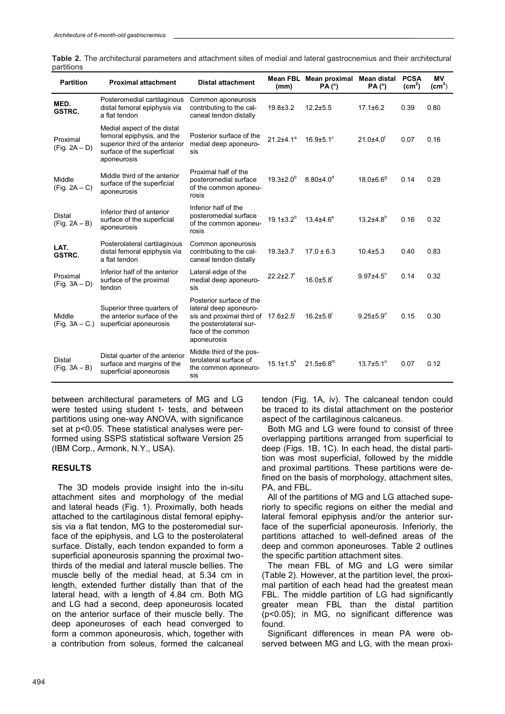| <b>Partition</b>                 | <b>Proximal attachment</b>                                                                                                               | <b>Distal attachment</b>                                                                                                                                                    | (mm)               | Mean FBL Mean proximal<br>PA(°) | Mean distal<br>PA (°)       | <b>PCSA</b><br>(cm <sup>2</sup> ) | <b>MV</b><br>$\text{(cm}^3)$ |
|----------------------------------|------------------------------------------------------------------------------------------------------------------------------------------|-----------------------------------------------------------------------------------------------------------------------------------------------------------------------------|--------------------|---------------------------------|-----------------------------|-----------------------------------|------------------------------|
| MED.<br><b>GSTRC.</b>            | Posteromedial cartilaginous<br>distal femoral epiphysis via<br>a flat tendon                                                             | Common aponeurosis<br>contributing to the cal-<br>caneal tendon distally                                                                                                    | $19.8 + 3.2$       | $12.2 + 5.5$                    | $17.1 \pm 6.2$              | 0.39                              | 0.80                         |
| Proximal<br>$(Fig. 2A - D)$      | Medial aspect of the distal<br>femoral epiphysis, and the<br>superior third of the anterior<br>surface of the superficial<br>aponeurosis | Posterior surface of the<br>medial deep aponeuro-<br>sis                                                                                                                    | $21.2 + 4.1a$      | $16.9{\pm}5.1^{\circ}$          | $21.0+4.0$ <sup>t</sup>     | 0.07                              | 0.16                         |
| Middle<br>$(Fig. 2A - C)$        | Middle third of the anterior<br>surface of the superficial<br>aponeurosis                                                                | Proximal half of the<br>posteromedial surface<br>of the common aponeu-<br>rosis                                                                                             | $19.3{\pm}2.0^{b}$ | $8.80{\pm}4.0^d$                | $18.0 \pm 6.6$ <sup>g</sup> | 0.14                              | 0.28                         |
| <b>Distal</b><br>$(Fig. 2A - B)$ | Inferior third of anterior<br>surface of the superficial<br>aponeurosis                                                                  | Inferior half of the<br>posteromedial surface<br>of the common aponeu-<br>rosis                                                                                             | $19.1 \pm 3.2^{b}$ | $13.4{\pm}4.6^e$                | $13.2{\pm}4.8$ <sup>h</sup> | 0.16                              | 0.32                         |
| LAT.<br>GSTRC.                   | Posterolateral cartilaginous<br>distal femoral epiphysis via<br>a flat tendon                                                            | Common aponeurosis<br>contributing to the cal-<br>caneal tendon distally                                                                                                    | $19.3 + 3.7$       | $17.0 \pm 6.3$                  | $10.4 \pm 5.3$              | 0.40                              | 0.83                         |
| Proximal<br>$(Fig. 3A - D)$      | Inferior half of the anterior<br>surface of the proximal<br>tendon                                                                       | Lateral edge of the<br>medial deep aponeuro-<br>sis                                                                                                                         | $22.2 \pm 2.7$     | $16.0{\pm}5.8$                  | $9.97{\pm}4.5$ <sup>n</sup> | 0.14                              | 0.32                         |
| Middle<br>$(Fig. 3A - C.)$       | Superior three quarters of<br>the anterior surface of the<br>superficial aponeurosis                                                     | Posterior surface of the<br>lateral deep aponeuro-<br>sis and proximal third of $17.6 \pm 2.5$ <sup>j</sup><br>the posterolateral sur-<br>face of the common<br>aponeurosis |                    | $16.2 \pm 5.8$                  | $9.25 \pm 5.9$ <sup>n</sup> | 0.15                              | 0.30                         |
| Distal<br>$(Fig. 3A - B)$        | Distal quarter of the anterior<br>surface and margins of the<br>superficial aponeurosis                                                  | Middle third of the pos-<br>terolateral surface of<br>the common aponeuro-<br>sis                                                                                           | $15.1 \pm 1.5^k$   | $21.5 \pm 6.8$ <sup>m</sup>     | $13.7 \pm 5.1^{\circ}$      | 0.07                              | 0.12                         |

**Table 2.** The architectural parameters and attachment sites of medial and lateral gastrocnemius and their architectural partitions

between architectural parameters of MG and LG were tested using student t- tests, and between partitions using one-way ANOVA, with significance set at p<0.05. These statistical analyses were performed using SSPS statistical software Version 25 (IBM Corp., Armonk, N.Y., USA).

#### **RESULTS**

The 3D models provide insight into the in-situ attachment sites and morphology of the medial and lateral heads (Fig. 1). Proximally, both heads attached to the cartilaginous distal femoral epiphysis via a flat tendon, MG to the posteromedial surface of the epiphysis, and LG to the posterolateral surface. Distally, each tendon expanded to form a superficial aponeurosis spanning the proximal twothirds of the medial and lateral muscle bellies. The muscle belly of the medial head, at 5.34 cm in length, extended further distally than that of the lateral head, with a length of 4.84 cm. Both MG and LG had a second, deep aponeurosis located on the anterior surface of their muscle belly. The deep aponeuroses of each head converged to form a common aponeurosis, which, together with a contribution from soleus, formed the calcaneal

tendon (Fig. 1A, iv). The calcaneal tendon could be traced to its distal attachment on the posterior aspect of the cartilaginous calcaneus.

Both MG and LG were found to consist of three overlapping partitions arranged from superficial to deep (Figs. 1B, 1C). In each head, the distal partition was most superficial, followed by the middle and proximal partitions. These partitions were defined on the basis of morphology, attachment sites, PA, and FBL.

All of the partitions of MG and LG attached superiorly to specific regions on either the medial and lateral femoral epiphysis and/or the anterior surface of the superficial aponeurosis. Inferiorly, the partitions attached to well-defined areas of the deep and common aponeuroses. Table 2 outlines the specific partition attachment sites.

The mean FBL of MG and LG were similar (Table 2). However, at the partition level, the proximal partition of each head had the greatest mean FBL. The middle partition of LG had significantly greater mean FBL than the distal partition (p<0.05); in MG, no significant difference was found.

Significant differences in mean PA were observed between MG and LG, with the mean proxi-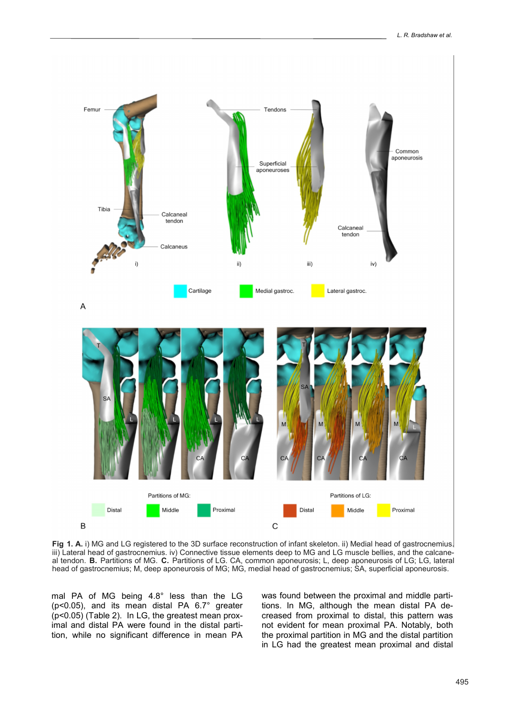

**Fig 1. A.** i) MG and LG registered to the 3D surface reconstruction of infant skeleton. ii) Medial head of gastrocnemius. iii) Lateral head of gastrocnemius. iv) Connective tissue elements deep to MG and LG muscle bellies, and the calcaneal tendon. **B.** Partitions of MG. **C.** Partitions of LG. CA, common aponeurosis; L, deep aponeurosis of LG; LG, lateral head of gastrocnemius; M, deep aponeurosis of MG; MG, medial head of gastrocnemius; SA, superficial aponeurosis.

mal PA of MG being 4.8° less than the LG (p<0.05), and its mean distal PA 6.7° greater (p<0.05) (Table 2). In LG, the greatest mean proximal and distal PA were found in the distal partition, while no significant difference in mean PA was found between the proximal and middle partitions. In MG, although the mean distal PA decreased from proximal to distal, this pattern was not evident for mean proximal PA. Notably, both the proximal partition in MG and the distal partition in LG had the greatest mean proximal and distal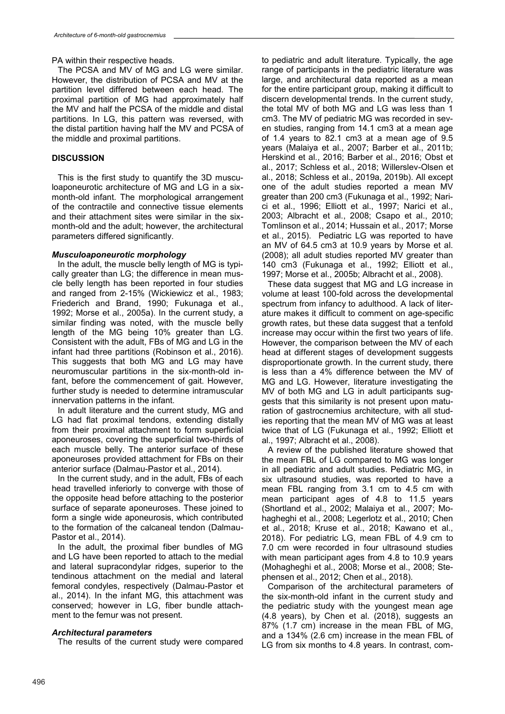# PA within their respective heads.

The PCSA and MV of MG and LG were similar. However, the distribution of PCSA and MV at the partition level differed between each head. The proximal partition of MG had approximately half the MV and half the PCSA of the middle and distal partitions. In LG, this pattern was reversed, with the distal partition having half the MV and PCSA of the middle and proximal partitions.

# **DISCUSSION**

This is the first study to quantify the 3D musculoaponeurotic architecture of MG and LG in a sixmonth-old infant. The morphological arrangement of the contractile and connective tissue elements and their attachment sites were similar in the sixmonth-old and the adult; however, the architectural parameters differed significantly.

# *Musculoaponeurotic morphology*

In the adult, the muscle belly length of MG is typically greater than LG; the difference in mean muscle belly length has been reported in four studies and ranged from 2-15% (Wickiewicz et al., 1983; Friederich and Brand, 1990; Fukunaga et al., 1992; Morse et al., 2005a). In the current study, a similar finding was noted, with the muscle belly length of the MG being 10% greater than LG. Consistent with the adult, FBs of MG and LG in the infant had three partitions (Robinson et al., 2016). This suggests that both MG and LG may have neuromuscular partitions in the six-month-old infant, before the commencement of gait. However, further study is needed to determine intramuscular innervation patterns in the infant.

In adult literature and the current study, MG and LG had flat proximal tendons, extending distally from their proximal attachment to form superficial aponeuroses, covering the superficial two-thirds of each muscle belly. The anterior surface of these aponeuroses provided attachment for FBs on their anterior surface (Dalmau-Pastor et al., 2014).

In the current study, and in the adult, FBs of each head travelled inferiorly to converge with those of the opposite head before attaching to the posterior surface of separate aponeuroses. These joined to form a single wide aponeurosis, which contributed to the formation of the calcaneal tendon (Dalmau-Pastor et al., 2014).

In the adult, the proximal fiber bundles of MG and LG have been reported to attach to the medial and lateral supracondylar ridges, superior to the tendinous attachment on the medial and lateral femoral condyles, respectively (Dalmau-Pastor et al., 2014). In the infant MG, this attachment was conserved; however in LG, fiber bundle attachment to the femur was not present.

#### *Architectural parameters*

The results of the current study were compared

to pediatric and adult literature. Typically, the age range of participants in the pediatric literature was large, and architectural data reported as a mean for the entire participant group, making it difficult to discern developmental trends. In the current study, the total MV of both MG and LG was less than 1 cm3. The MV of pediatric MG was recorded in seven studies, ranging from 14.1 cm3 at a mean age of 1.4 years to 82.1 cm3 at a mean age of 9.5 years (Malaiya et al., 2007; Barber et al., 2011b; Herskind et al., 2016; Barber et al., 2016; Obst et al., 2017; Schless et al., 2018; Willerslev-Olsen et al., 2018; Schless et al., 2019a, 2019b). All except one of the adult studies reported a mean MV greater than 200 cm3 (Fukunaga et al., 1992; Narici et al., 1996; Elliott et al., 1997; Narici et al., 2003; Albracht et al., 2008; Csapo et al., 2010; Tomlinson et al., 2014; Hussain et al., 2017; Morse et al., 2015). Pediatric LG was reported to have an MV of 64.5 cm3 at 10.9 years by Morse et al. (2008); all adult studies reported MV greater than 140 cm3 (Fukunaga et al., 1992; Elliott et al., 1997; Morse et al., 2005b; Albracht et al., 2008).

These data suggest that MG and LG increase in volume at least 100-fold across the developmental spectrum from infancy to adulthood. A lack of literature makes it difficult to comment on age-specific growth rates, but these data suggest that a tenfold increase may occur within the first two years of life. However, the comparison between the MV of each head at different stages of development suggests disproportionate growth. In the current study, there is less than a 4% difference between the MV of MG and LG. However, literature investigating the MV of both MG and LG in adult participants suggests that this similarity is not present upon maturation of gastrocnemius architecture, with all studies reporting that the mean MV of MG was at least twice that of LG (Fukunaga et al., 1992; Elliott et al., 1997; Albracht et al., 2008).

A review of the published literature showed that the mean FBL of LG compared to MG was longer in all pediatric and adult studies. Pediatric MG, in six ultrasound studies, was reported to have a mean FBL ranging from 3.1 cm to 4.5 cm with mean participant ages of 4.8 to 11.5 years (Shortland et al., 2002; Malaiya et al., 2007; Mohagheghi et al., 2008; Legerlotz et al., 2010; Chen et al., 2018; Kruse et al., 2018; Kawano et al., 2018). For pediatric LG, mean FBL of 4.9 cm to 7.0 cm were recorded in four ultrasound studies with mean participant ages from 4.8 to 10.9 years (Mohagheghi et al., 2008; Morse et al., 2008; Stephensen et al., 2012; Chen et al., 2018).

Comparison of the architectural parameters of the six-month-old infant in the current study and the pediatric study with the youngest mean age (4.8 years), by Chen et al. (2018), suggests an 87% (1.7 cm) increase in the mean FBL of MG, and a 134% (2.6 cm) increase in the mean FBL of LG from six months to 4.8 years. In contrast, com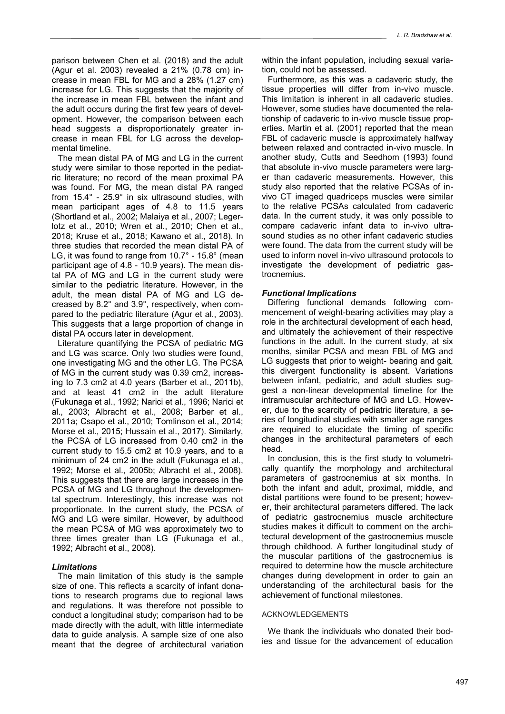parison between Chen et al. (2018) and the adult (Agur et al. 2003) revealed a 21% (0.78 cm) increase in mean FBL for MG and a 28% (1.27 cm) increase for LG. This suggests that the majority of the increase in mean FBL between the infant and the adult occurs during the first few years of development. However, the comparison between each head suggests a disproportionately greater increase in mean FBL for LG across the developmental timeline.

The mean distal PA of MG and LG in the current study were similar to those reported in the pediatric literature; no record of the mean proximal PA was found. For MG, the mean distal PA ranged from 15.4° - 25.9° in six ultrasound studies, with mean participant ages of 4.8 to 11.5 years (Shortland et al., 2002; Malaiya et al., 2007; Legerlotz et al., 2010; Wren et al., 2010; Chen et al., 2018; Kruse et al., 2018; Kawano et al., 2018). In three studies that recorded the mean distal PA of LG, it was found to range from 10.7° - 15.8° (mean participant age of 4.8 - 10.9 years). The mean distal PA of MG and LG in the current study were similar to the pediatric literature. However, in the adult, the mean distal PA of MG and LG decreased by 8.2° and 3.9°, respectively, when compared to the pediatric literature (Agur et al., 2003). This suggests that a large proportion of change in distal PA occurs later in development.

Literature quantifying the PCSA of pediatric MG and LG was scarce. Only two studies were found, one investigating MG and the other LG. The PCSA of MG in the current study was 0.39 cm2, increasing to 7.3 cm2 at 4.0 years (Barber et al., 2011b), and at least 41 cm2 in the adult literature (Fukunaga et al., 1992; Narici et al., 1996; Narici et al., 2003; Albracht et al., 2008; Barber et al., 2011a; Csapo et al., 2010; Tomlinson et al., 2014; Morse et al., 2015; Hussain et al., 2017). Similarly, the PCSA of LG increased from 0.40 cm2 in the current study to 15.5 cm2 at 10.9 years, and to a minimum of 24 cm2 in the adult (Fukunaga et al., 1992; Morse et al., 2005b; Albracht et al., 2008). This suggests that there are large increases in the PCSA of MG and LG throughout the developmental spectrum. Interestingly, this increase was not proportionate. In the current study, the PCSA of MG and LG were similar. However, by adulthood the mean PCSA of MG was approximately two to three times greater than LG (Fukunaga et al., 1992; Albracht et al., 2008).

#### *Limitations*

The main limitation of this study is the sample size of one. This reflects a scarcity of infant donations to research programs due to regional laws and regulations. It was therefore not possible to conduct a longitudinal study; comparison had to be made directly with the adult, with little intermediate data to guide analysis. A sample size of one also meant that the degree of architectural variation

within the infant population, including sexual variation, could not be assessed.

Furthermore, as this was a cadaveric study, the tissue properties will differ from in-vivo muscle. This limitation is inherent in all cadaveric studies. However, some studies have documented the relationship of cadaveric to in-vivo muscle tissue properties. Martin et al. (2001) reported that the mean FBL of cadaveric muscle is approximately halfway between relaxed and contracted in-vivo muscle. In another study, Cutts and Seedhom (1993) found that absolute in-vivo muscle parameters were larger than cadaveric measurements. However, this study also reported that the relative PCSAs of invivo CT imaged quadriceps muscles were similar to the relative PCSAs calculated from cadaveric data. In the current study, it was only possible to compare cadaveric infant data to in-vivo ultrasound studies as no other infant cadaveric studies were found. The data from the current study will be used to inform novel in-vivo ultrasound protocols to investigate the development of pediatric gastrocnemius.

# *Functional Implications*

Differing functional demands following commencement of weight-bearing activities may play a role in the architectural development of each head, and ultimately the achievement of their respective functions in the adult. In the current study, at six months, similar PCSA and mean FBL of MG and LG suggests that prior to weight- bearing and gait, this divergent functionality is absent. Variations between infant, pediatric, and adult studies suggest a non-linear developmental timeline for the intramuscular architecture of MG and LG. However, due to the scarcity of pediatric literature, a series of longitudinal studies with smaller age ranges are required to elucidate the timing of specific changes in the architectural parameters of each head.

In conclusion, this is the first study to volumetrically quantify the morphology and architectural parameters of gastrocnemius at six months. In both the infant and adult, proximal, middle, and distal partitions were found to be present; however, their architectural parameters differed. The lack of pediatric gastrocnemius muscle architecture studies makes it difficult to comment on the architectural development of the gastrocnemius muscle through childhood. A further longitudinal study of the muscular partitions of the gastrocnemius is required to determine how the muscle architecture changes during development in order to gain an understanding of the architectural basis for the achievement of functional milestones.

#### ACKNOWLEDGEMENTS

We thank the individuals who donated their bodies and tissue for the advancement of education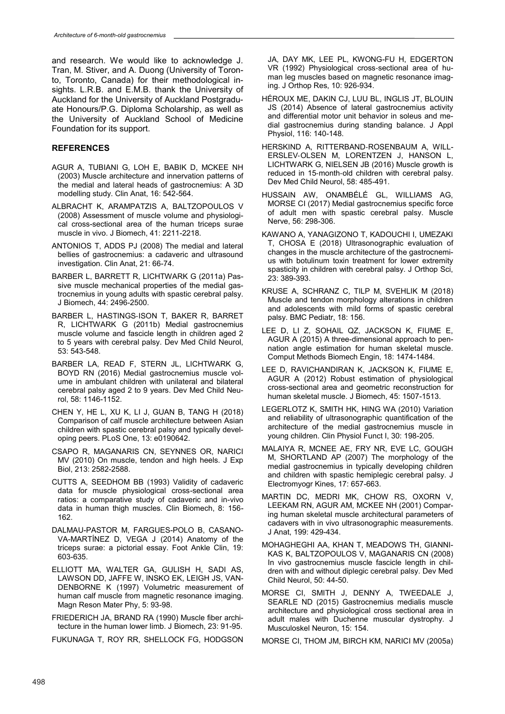and research. We would like to acknowledge J. Tran, M. Stiver, and A. Duong (University of Toronto, Toronto, Canada) for their methodological insights. L.R.B. and E.M.B. thank the University of Auckland for the University of Auckland Postgraduate Honours/P.G. Diploma Scholarship, as well as the University of Auckland School of Medicine Foundation for its support.

# **REFERENCES**

- AGUR A, TUBIANI G, LOH E, BABIK D, MCKEE NH (2003) Muscle architecture and innervation patterns of the medial and lateral heads of gastrocnemius: A 3D modelling study. Clin Anat, 16: 542-564.
- ALBRACHT K, ARAMPATZIS A, BALTZOPOULOS V (2008) Assessment of muscle volume and physiological cross-sectional area of the human triceps surae muscle in vivo. J Biomech, 41: 2211-2218.
- ANTONIOS T, ADDS PJ (2008) The medial and lateral bellies of gastrocnemius: a cadaveric and ultrasound investigation. Clin Anat, 21: 66-74.
- BARBER L, BARRETT R, LICHTWARK G (2011a) Passive muscle mechanical properties of the medial gastrocnemius in young adults with spastic cerebral palsy. J Biomech, 44: 2496-2500.
- BARBER L, HASTINGS‐ISON T, BAKER R, BARRET R, LICHTWARK G (2011b) Medial gastrocnemius muscle volume and fascicle length in children aged 2 to 5 years with cerebral palsy. Dev Med Child Neurol, 53: 543-548.
- BARBER LA, READ F, STERN JL, LICHTWARK G, BOYD RN (2016) Medial gastrocnemius muscle volume in ambulant children with unilateral and bilateral cerebral palsy aged 2 to 9 years. Dev Med Child Neurol, 58: 1146-1152.
- CHEN Y, HE L, XU K, LI J, GUAN B, TANG H (2018) Comparison of calf muscle architecture between Asian children with spastic cerebral palsy and typically developing peers. PLoS One, 13: e0190642.
- CSAPO R, MAGANARIS CN, SEYNNES OR, NARICI MV (2010) On muscle, tendon and high heels. J Exp Biol, 213: 2582-2588.
- CUTTS A, SEEDHOM BB (1993) Validity of cadaveric data for muscle physiological cross-sectional area ratios: a comparative study of cadaveric and in-vivo data in human thigh muscles. Clin Biomech, 8: 156- 162.
- DALMAU-PASTOR M, FARGUES-POLO B, CASANO-VA-MARTÍNEZ D, VEGA J (2014) Anatomy of the triceps surae: a pictorial essay. Foot Ankle Clin, 19: 603-635.
- ELLIOTT MA, WALTER GA, GULISH H, SADI AS, LAWSON DD, JAFFE W, INSKO EK, LEIGH JS, VAN-DENBORNE K (1997) Volumetric measurement of human calf muscle from magnetic resonance imaging. Magn Reson Mater Phy, 5: 93-98.
- FRIEDERICH JA, BRAND RA (1990) Muscle fiber architecture in the human lower limb. J Biomech, 23: 91-95.

FUKUNAGA T, ROY RR, SHELLOCK FG, HODGSON

JA, DAY MK, LEE PL, KWONG-FU H, EDGERTON VR (1992) Physiological cross‐sectional area of human leg muscles based on magnetic resonance imaging. J Orthop Res, 10: 926-934.

- HÉROUX ME, DAKIN CJ, LUU BL, INGLIS JT, BLOUIN JS (2014) Absence of lateral gastrocnemius activity and differential motor unit behavior in soleus and medial gastrocnemius during standing balance. J Appl Physiol, 116: 140-148.
- HERSKIND A, RITTERBAND‐ROSENBAUM A, WILL-ERSLEV‐OLSEN M, LORENTZEN J, HANSON L, LICHTWARK G, NIELSEN JB (2016) Muscle growth is reduced in 15‐month‐old children with cerebral palsy. Dev Med Child Neurol, 58: 485-491.
- HUSSAIN AW, ONAMBÉLÉ GL, WILLIAMS AG, MORSE CI (2017) Medial gastrocnemius specific force of adult men with spastic cerebral palsy. Muscle Nerve, 56: 298-306.
- KAWANO A, YANAGIZONO T, KADOUCHI I, UMEZAKI T, CHOSA E (2018) Ultrasonographic evaluation of changes in the muscle architecture of the gastrocnemius with botulinum toxin treatment for lower extremity spasticity in children with cerebral palsy. J Orthop Sci, 23: 389-393.
- KRUSE A, SCHRANZ C, TILP M, SVEHLIK M (2018) Muscle and tendon morphology alterations in children and adolescents with mild forms of spastic cerebral palsy. BMC Pediatr, 18: 156.
- LEE D, LI Z, SOHAIL QZ, JACKSON K, FIUME E, AGUR A (2015) A three-dimensional approach to pennation angle estimation for human skeletal muscle. Comput Methods Biomech Engin, 18: 1474-1484.
- LEE D, RAVICHANDIRAN K, JACKSON K, FIUME E, AGUR A (2012) Robust estimation of physiological cross-sectional area and geometric reconstruction for human skeletal muscle. J Biomech, 45: 1507-1513.
- LEGERLOTZ K, SMITH HK, HING WA (2010) Variation and reliability of ultrasonographic quantification of the architecture of the medial gastrocnemius muscle in young children. Clin Physiol Funct I, 30: 198-205.
- MALAIYA R, MCNEE AE, FRY NR, EVE LC, GOUGH M, SHORTLAND AP (2007) The morphology of the medial gastrocnemius in typically developing children and children with spastic hemiplegic cerebral palsy. J Electromyogr Kines, 17: 657-663.
- MARTIN DC, MEDRI MK, CHOW RS, OXORN V, LEEKAM RN, AGUR AM, MCKEE NH (2001) Comparing human skeletal muscle architectural parameters of cadavers with in vivo ultrasonographic measurements. J Anat, 199: 429-434.
- MOHAGHEGHI AA, KHAN T, MEADOWS TH, GIANNI-KAS K, BALTZOPOULOS V, MAGANARIS CN (2008) In vivo gastrocnemius muscle fascicle length in children with and without diplegic cerebral palsy. Dev Med Child Neurol, 50: 44-50.
- MORSE CI, SMITH J, DENNY A, TWEEDALE J, SEARLE ND (2015) Gastrocnemius medialis muscle architecture and physiological cross sectional area in adult males with Duchenne muscular dystrophy. J Musculoskel Neuron, 15: 154.
- MORSE CI, THOM JM, BIRCH KM, NARICI MV (2005a)